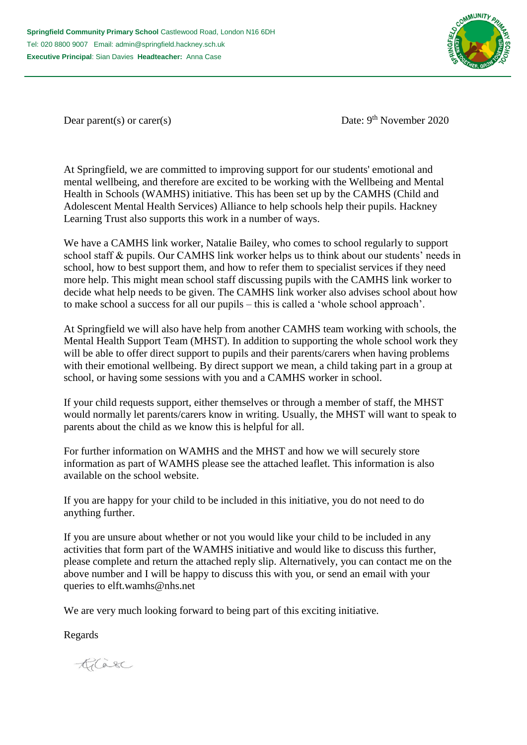

Dear parent(s) or carer(s) Date: 9<sup>th</sup> November 2020

At Springfield, we are committed to improving support for our students' emotional and mental wellbeing, and therefore are excited to be working with the Wellbeing and Mental Health in Schools (WAMHS) initiative. This has been set up by the CAMHS (Child and Adolescent Mental Health Services) Alliance to help schools help their pupils. Hackney Learning Trust also supports this work in a number of ways.

We have a CAMHS link worker, Natalie Bailey, who comes to school regularly to support school staff & pupils. Our CAMHS link worker helps us to think about our students' needs in school, how to best support them, and how to refer them to specialist services if they need more help. This might mean school staff discussing pupils with the CAMHS link worker to decide what help needs to be given. The CAMHS link worker also advises school about how to make school a success for all our pupils – this is called a 'whole school approach'.

At Springfield we will also have help from another CAMHS team working with schools, the Mental Health Support Team (MHST). In addition to supporting the whole school work they will be able to offer direct support to pupils and their parents/carers when having problems with their emotional wellbeing. By direct support we mean, a child taking part in a group at school, or having some sessions with you and a CAMHS worker in school.

If your child requests support, either themselves or through a member of staff, the MHST would normally let parents/carers know in writing. Usually, the MHST will want to speak to parents about the child as we know this is helpful for all.

For further information on WAMHS and the MHST and how we will securely store information as part of WAMHS please see the attached leaflet. This information is also available on the school website.

If you are happy for your child to be included in this initiative, you do not need to do anything further.

If you are unsure about whether or not you would like your child to be included in any activities that form part of the WAMHS initiative and would like to discuss this further, please complete and return the attached reply slip. Alternatively, you can contact me on the above number and I will be happy to discuss this with you, or send an email with your queries to elft.wamhs@nhs.net

We are very much looking forward to being part of this exciting initiative.

Regards

Casa